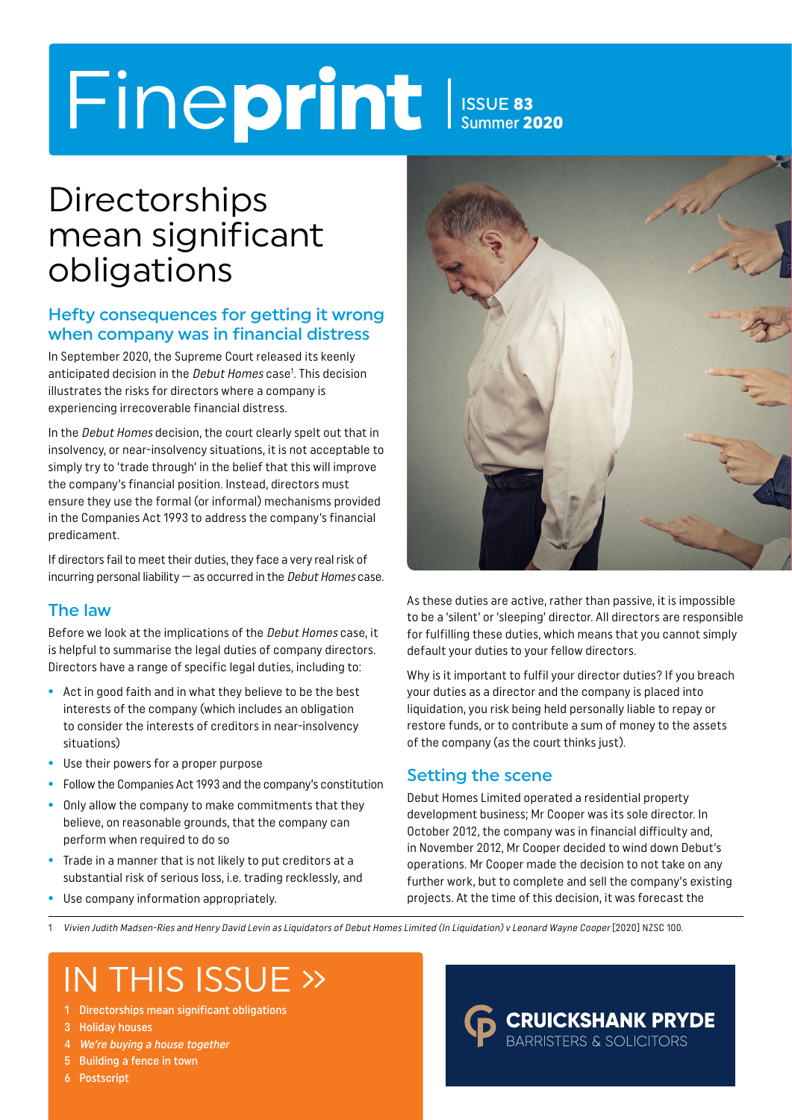# Fineprint Issue 83

Summer 2020

### **Directorships** mean significant obligations

#### Hefty consequences for getting it wrong when company was in financial distress

In September 2020, the Supreme Court released its keenly anticipated decision in the Debut Homes case<sup>1</sup>. This decision illustrates the risks for directors where a company is experiencing irrecoverable financial distress.

In the *Debut Homes* decision, the court clearly spelt out that in insolvency, or near-insolvency situations, it is not acceptable to simply try to 'trade through' in the belief that this will improve the company's financial position. Instead, directors must ensure they use the formal (or informal) mechanisms provided in the Companies Act 1993 to address the company's financial predicament.

If directors fail to meet their duties, they face a very real risk of incurring personal liability  $-$  as occurred in the *Debut Homes* case.

#### The law

Before we look at the implications of the Debut Homes case, it is helpful to summarise the legal duties of company directors. Directors have a range of specific legal duties, including to:

- **•** Act in good faith and in what they believe to be the best interests of the company (which includes an obligation to consider the interests of creditors in near-insolvency situations)
- **•** Use their powers for a proper purpose
- **•** Follow the Companies Act 1993 and the company's constitution
- **•** Only allow the company to make commitments that they believe, on reasonable grounds, that the company can perform when required to do so
- **•** Trade in a manner that is not likely to put creditors at a substantial risk of serious loss, i.e. trading recklessly, and
- **•** Use company information appropriately.



As these duties are active, rather than passive, it is impossible to be a 'silent' or 'sleeping' director. All directors are responsible for fulfilling these duties, which means that you cannot simply default your duties to your fellow directors.

Why is it important to fulfil your director duties? If you breach your duties as a director and the company is placed into liquidation, you risk being held personally liable to repay or restore funds, or to contribute a sum of money to the assets of the company (as the court thinks just).

#### Setting the scene

Debut Homes Limited operated a residential property development business; Mr Cooper was its sole director. In October 2012, the company was in financial difficulty and, in November 2012, Mr Cooper decided to wind down Debut's operations. Mr Cooper made the decision to not take on any further work, but to complete and sell the company's existing projects. At the time of this decision, it was forecast the

1 Vivien Judith Madsen-Ries and Henry David Levin as Liquidators of Debut Homes Limited (In Liquidation) v Leonard Wayne Cooper [2020] NZSC 100.

### IN THIS ISSUE »

- 1 Directorships mean significant obligations
- 3 Holiday houses
- 4 We're buying a house together
- 5 Building a fence in town
- 6 Postscript

#### **CRUICKSHANK PRYDE BARRISTERS & SOLICITORS**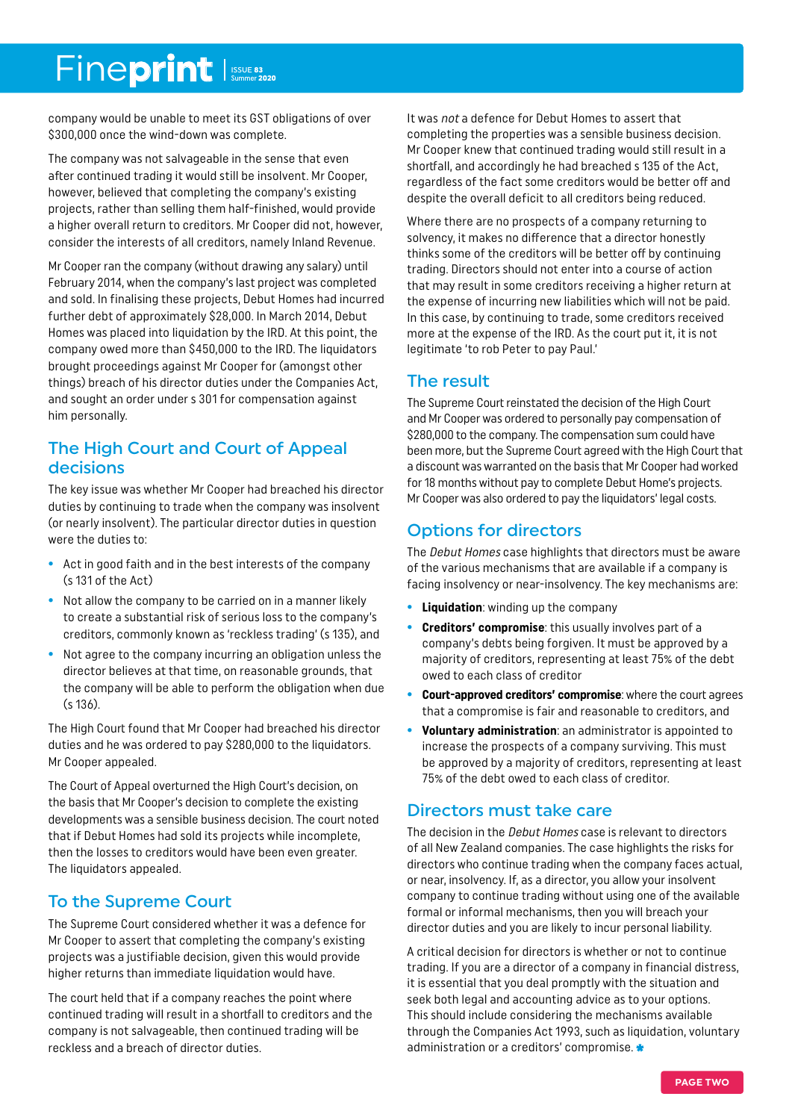### Fineprint

company would be unable to meet its GST obligations of over \$300,000 once the wind-down was complete.

The company was not salvageable in the sense that even after continued trading it would still be insolvent. Mr Cooper, however, believed that completing the company's existing projects, rather than selling them half-finished, would provide a higher overall return to creditors. Mr Cooper did not, however, consider the interests of all creditors, namely Inland Revenue.

Mr Cooper ran the company (without drawing any salary) until February 2014, when the company's last project was completed and sold. In finalising these projects, Debut Homes had incurred further debt of approximately \$28,000. In March 2014, Debut Homes was placed into liquidation by the IRD. At this point, the company owed more than \$450,000 to the IRD. The liquidators brought proceedings against Mr Cooper for (amongst other things) breach of his director duties under the Companies Act, and sought an order under s 301 for compensation against him personally.

#### The High Court and Court of Appeal decisions

The key issue was whether Mr Cooper had breached his director duties by continuing to trade when the company was insolvent (or nearly insolvent). The particular director duties in question were the duties to:

- **•** Act in good faith and in the best interests of the company (s 131 of the Act)
- **•** Not allow the company to be carried on in a manner likely to create a substantial risk of serious loss to the company's creditors, commonly known as 'reckless trading' (s 135), and
- **•** Not agree to the company incurring an obligation unless the director believes at that time, on reasonable grounds, that the company will be able to perform the obligation when due (s 136).

The High Court found that Mr Cooper had breached his director duties and he was ordered to pay \$280,000 to the liquidators. Mr Cooper appealed.

The Court of Appeal overturned the High Court's decision, on the basis that Mr Cooper's decision to complete the existing developments was a sensible business decision. The court noted that if Debut Homes had sold its projects while incomplete, then the losses to creditors would have been even greater. The liquidators appealed.

#### To the Supreme Court

The Supreme Court considered whether it was a defence for Mr Cooper to assert that completing the company's existing projects was a justifiable decision, given this would provide higher returns than immediate liquidation would have.

The court held that if a company reaches the point where continued trading will result in a shortfall to creditors and the company is not salvageable, then continued trading will be reckless and a breach of director duties.

It was not a defence for Debut Homes to assert that completing the properties was a sensible business decision. Mr Cooper knew that continued trading would still result in a shortfall, and accordingly he had breached s 135 of the Act, regardless of the fact some creditors would be better off and despite the overall deficit to all creditors being reduced.

Where there are no prospects of a company returning to solvency, it makes no difference that a director honestly thinks some of the creditors will be better off by continuing trading. Directors should not enter into a course of action that may result in some creditors receiving a higher return at the expense of incurring new liabilities which will not be paid. In this case, by continuing to trade, some creditors received more at the expense of the IRD. As the court put it, it is not legitimate 'to rob Peter to pay Paul.'

#### The result

The Supreme Court reinstated the decision of the High Court and Mr Cooper was ordered to personally pay compensation of \$280,000 to the company. The compensation sum could have been more, but the Supreme Court agreed with the High Court that a discount was warranted on the basis that Mr Cooper had worked for 18 months without pay to complete Debut Home's projects. Mr Cooper was also ordered to pay the liquidators' legal costs.

#### Options for directors

The Debut Homes case highlights that directors must be aware of the various mechanisms that are available if a company is facing insolvency or near-insolvency. The key mechanisms are:

- **• Liquidation**: winding up the company
- **• Creditors' compromise**: this usually involves part of a company's debts being forgiven. It must be approved by a majority of creditors, representing at least 75% of the debt owed to each class of creditor
- **• Court-approved creditors' compromise**: where the court agrees that a compromise is fair and reasonable to creditors, and
- **• Voluntary administration**: an administrator is appointed to increase the prospects of a company surviving. This must be approved by a majority of creditors, representing at least 75% of the debt owed to each class of creditor.

#### Directors must take care

The decision in the *Debut Homes* case is relevant to directors of all New Zealand companies. The case highlights the risks for directors who continue trading when the company faces actual, or near, insolvency. If, as a director, you allow your insolvent company to continue trading without using one of the available formal or informal mechanisms, then you will breach your director duties and you are likely to incur personal liability.

A critical decision for directors is whether or not to continue trading. If you are a director of a company in financial distress, it is essential that you deal promptly with the situation and seek both legal and accounting advice as to your options. This should include considering the mechanisms available through the Companies Act 1993, such as liquidation, voluntary administration or a creditors' compromise.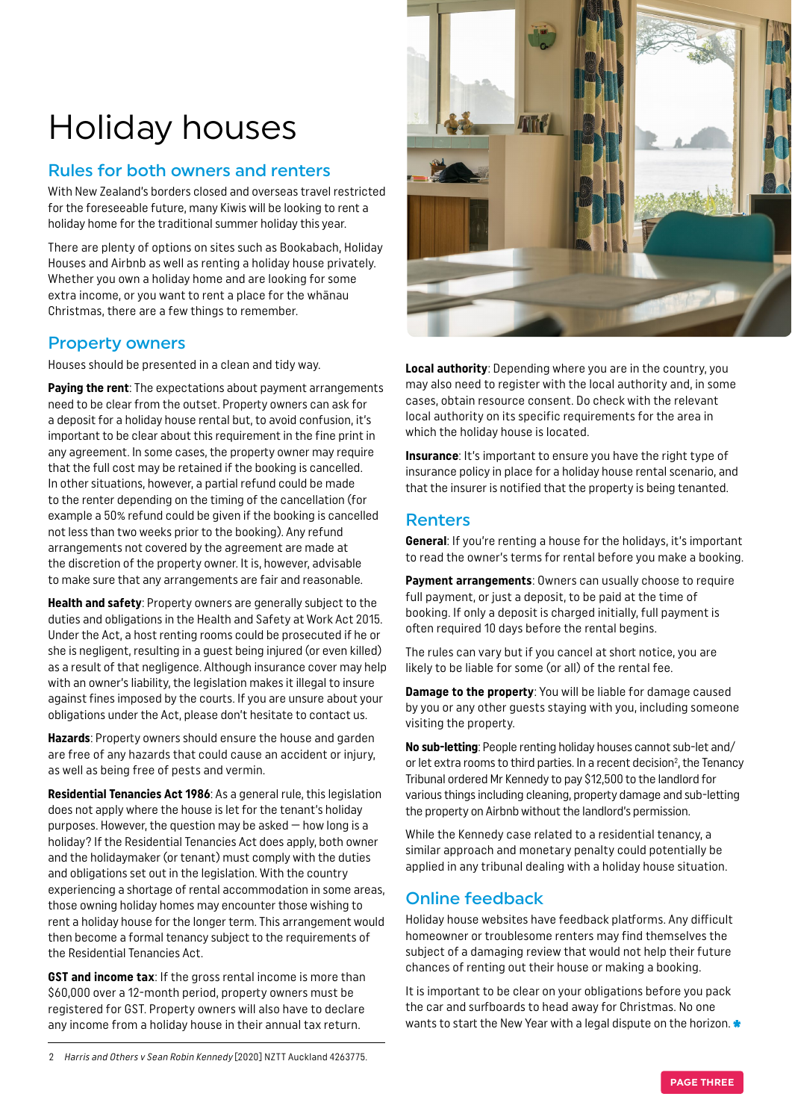### Holiday houses

#### Rules for both owners and renters

With New Zealand's borders closed and overseas travel restricted for the foreseeable future, many Kiwis will be looking to rent a holiday home for the traditional summer holiday this year.

There are plenty of options on sites such as Bookabach, Holiday Houses and Airbnb as well as renting a holiday house privately. Whether you own a holiday home and are looking for some extra income, or you want to rent a place for the whānau Christmas, there are a few things to remember.

#### Property owners

Houses should be presented in a clean and tidy way.

**Paying the rent**: The expectations about payment arrangements need to be clear from the outset. Property owners can ask for a deposit for a holiday house rental but, to avoid confusion, it's important to be clear about this requirement in the fine print in any agreement. In some cases, the property owner may require that the full cost may be retained if the booking is cancelled. In other situations, however, a partial refund could be made to the renter depending on the timing of the cancellation (for example a 50% refund could be given if the booking is cancelled not less than two weeks prior to the booking). Any refund arrangements not covered by the agreement are made at the discretion of the property owner. It is, however, advisable to make sure that any arrangements are fair and reasonable.

**Health and safety**: Property owners are generally subject to the duties and obligations in the Health and Safety at Work Act 2015. Under the Act, a host renting rooms could be prosecuted if he or she is negligent, resulting in a guest being injured (or even killed) as a result of that negligence. Although insurance cover may help with an owner's liability, the legislation makes it illegal to insure against fines imposed by the courts. If you are unsure about your obligations under the Act, please don't hesitate to contact us.

**Hazards**: Property owners should ensure the house and garden are free of any hazards that could cause an accident or injury, as well as being free of pests and vermin.

**Residential Tenancies Act 1986**: As a general rule, this legislation does not apply where the house is let for the tenant's holiday purposes. However, the question may be asked — how long is a holiday? If the Residential Tenancies Act does apply, both owner and the holidaymaker (or tenant) must comply with the duties and obligations set out in the legislation. With the country experiencing a shortage of rental accommodation in some areas, those owning holiday homes may encounter those wishing to rent a holiday house for the longer term. This arrangement would then become a formal tenancy subject to the requirements of the Residential Tenancies Act.

**GST and income tax:** If the gross rental income is more than \$60,000 over a 12-month period, property owners must be registered for GST. Property owners will also have to declare any income from a holiday house in their annual tax return.



**Local authority**: Depending where you are in the country, you may also need to register with the local authority and, in some cases, obtain resource consent. Do check with the relevant local authority on its specific requirements for the area in which the holiday house is located.

**Insurance**: It's important to ensure you have the right type of insurance policy in place for a holiday house rental scenario, and that the insurer is notified that the property is being tenanted.

#### Renters

**General**: If you're renting a house for the holidays, it's important to read the owner's terms for rental before you make a booking.

**Payment arrangements**: Owners can usually choose to require full payment, or just a deposit, to be paid at the time of booking. If only a deposit is charged initially, full payment is often required 10 days before the rental begins.

The rules can vary but if you cancel at short notice, you are likely to be liable for some (or all) of the rental fee.

**Damage to the property**: You will be liable for damage caused by you or any other guests staying with you, including someone visiting the property.

**No sub-letting**: People renting holiday houses cannot sub-let and/ or let extra rooms to third parties. In a recent decision<sup>2</sup>, the Tenancy Tribunal ordered Mr Kennedy to pay \$12,500 to the landlord for various things including cleaning, property damage and sub-letting the property on Airbnb without the landlord's permission.

While the Kennedy case related to a residential tenancy, a similar approach and monetary penalty could potentially be applied in any tribunal dealing with a holiday house situation.

#### Online feedback

Holiday house websites have feedback platforms. Any difficult homeowner or troublesome renters may find themselves the subject of a damaging review that would not help their future chances of renting out their house or making a booking.

It is important to be clear on your obligations before you pack the car and surfboards to head away for Christmas. No one wants to start the New Year with a legal dispute on the horizon.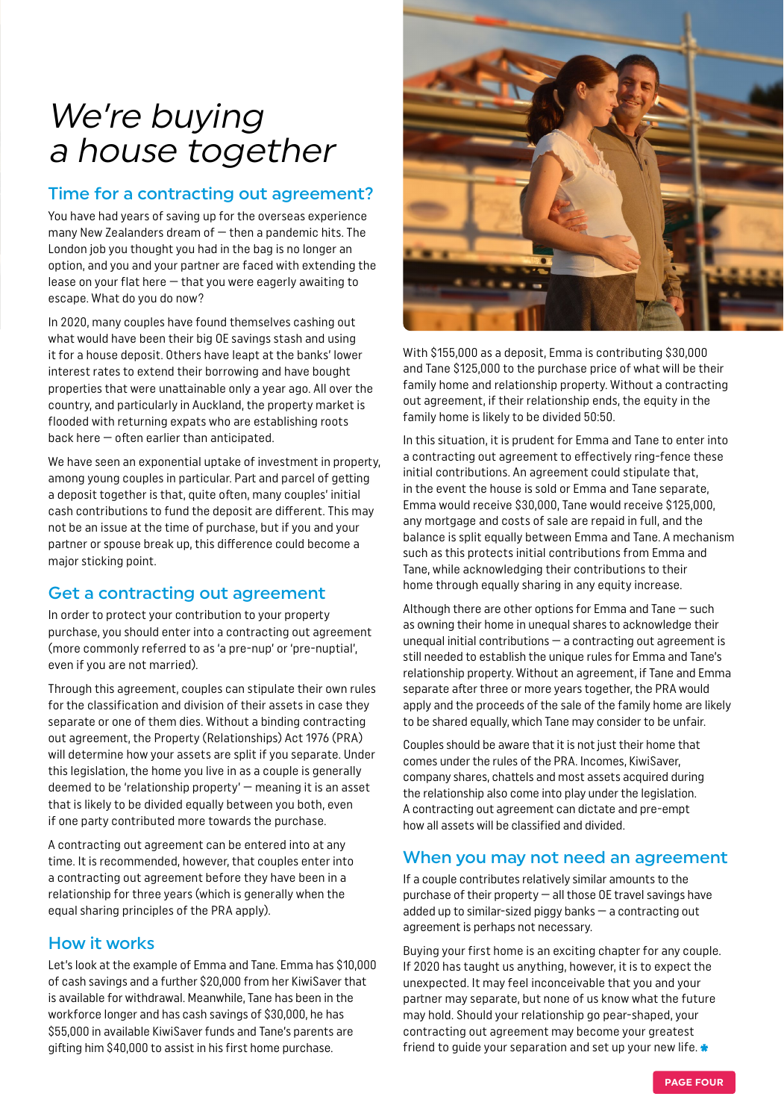### We're buying a house together

#### Time for a contracting out agreement?

You have had years of saving up for the overseas experience many New Zealanders dream of  $-$  then a pandemic hits. The London job you thought you had in the bag is no longer an option, and you and your partner are faced with extending the lease on your flat here — that you were eagerly awaiting to escape. What do you do now?

In 2020, many couples have found themselves cashing out what would have been their big OE savings stash and using it for a house deposit. Others have leapt at the banks' lower interest rates to extend their borrowing and have bought properties that were unattainable only a year ago. All over the country, and particularly in Auckland, the property market is flooded with returning expats who are establishing roots back here — often earlier than anticipated.

We have seen an exponential uptake of investment in property, among young couples in particular. Part and parcel of getting a deposit together is that, quite often, many couples' initial cash contributions to fund the deposit are different. This may not be an issue at the time of purchase, but if you and your partner or spouse break up, this difference could become a major sticking point.

#### Get a contracting out agreement

In order to protect your contribution to your property purchase, you should enter into a contracting out agreement (more commonly referred to as 'a pre-nup' or 'pre-nuptial', even if you are not married).

Through this agreement, couples can stipulate their own rules for the classification and division of their assets in case they separate or one of them dies. Without a binding contracting out agreement, the Property (Relationships) Act 1976 (PRA) will determine how your assets are split if you separate. Under this legislation, the home you live in as a couple is generally deemed to be 'relationship property' — meaning it is an asset that is likely to be divided equally between you both, even if one party contributed more towards the purchase.

A contracting out agreement can be entered into at any time. It is recommended, however, that couples enter into a contracting out agreement before they have been in a relationship for three years (which is generally when the equal sharing principles of the PRA apply).

#### How it works

Let's look at the example of Emma and Tane. Emma has \$10,000 of cash savings and a further \$20,000 from her KiwiSaver that is available for withdrawal. Meanwhile, Tane has been in the workforce longer and has cash savings of \$30,000, he has \$55,000 in available KiwiSaver funds and Tane's parents are gifting him \$40,000 to assist in his first home purchase.



With \$155,000 as a deposit, Emma is contributing \$30,000 and Tane \$125,000 to the purchase price of what will be their family home and relationship property. Without a contracting out agreement, if their relationship ends, the equity in the family home is likely to be divided 50:50.

In this situation, it is prudent for Emma and Tane to enter into a contracting out agreement to effectively ring-fence these initial contributions. An agreement could stipulate that, in the event the house is sold or Emma and Tane separate, Emma would receive \$30,000, Tane would receive \$125,000, any mortgage and costs of sale are repaid in full, and the balance is split equally between Emma and Tane. A mechanism such as this protects initial contributions from Emma and Tane, while acknowledging their contributions to their home through equally sharing in any equity increase.

Although there are other options for Emma and Tane — such as owning their home in unequal shares to acknowledge their unequal initial contributions — a contracting out agreement is still needed to establish the unique rules for Emma and Tane's relationship property. Without an agreement, if Tane and Emma separate after three or more years together, the PRA would apply and the proceeds of the sale of the family home are likely to be shared equally, which Tane may consider to be unfair.

Couples should be aware that it is not just their home that comes under the rules of the PRA. Incomes, KiwiSaver, company shares, chattels and most assets acquired during the relationship also come into play under the legislation. A contracting out agreement can dictate and pre-empt how all assets will be classified and divided.

#### When you may not need an agreement

If a couple contributes relatively similar amounts to the purchase of their property — all those OE travel savings have added up to similar-sized piggy banks — a contracting out agreement is perhaps not necessary.

Buying your first home is an exciting chapter for any couple. If 2020 has taught us anything, however, it is to expect the unexpected. It may feel inconceivable that you and your partner may separate, but none of us know what the future may hold. Should your relationship go pear-shaped, your contracting out agreement may become your greatest friend to guide your separation and set up your new life.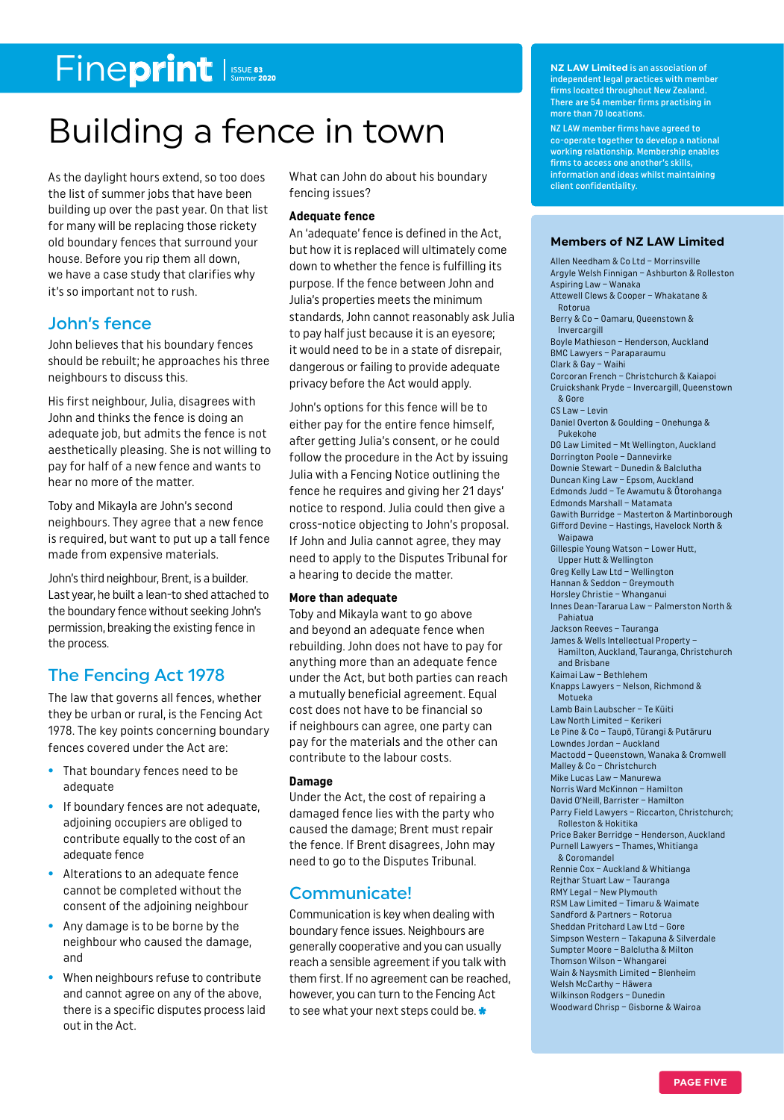### Fineprint

### Building a fence in town

As the daylight hours extend, so too does the list of summer jobs that have been building up over the past year. On that list for many will be replacing those rickety old boundary fences that surround your house. Before you rip them all down, we have a case study that clarifies why it's so important not to rush.

#### John's fence

John believes that his boundary fences should be rebuilt; he approaches his three neighbours to discuss this.

His first neighbour, Julia, disagrees with John and thinks the fence is doing an adequate job, but admits the fence is not aesthetically pleasing. She is not willing to pay for half of a new fence and wants to hear no more of the matter.

Toby and Mikayla are John's second neighbours. They agree that a new fence is required, but want to put up a tall fence made from expensive materials.

John's third neighbour, Brent, is a builder. Last year, he built a lean-to shed attached to the boundary fence without seeking John's permission, breaking the existing fence in the process.

#### The Fencing Act 1978

The law that governs all fences, whether they be urban or rural, is the Fencing Act 1978. The key points concerning boundary fences covered under the Act are:

- **•** That boundary fences need to be adequate
- **•** If boundary fences are not adequate, adjoining occupiers are obliged to contribute equally to the cost of an adequate fence
- **•** Alterations to an adequate fence cannot be completed without the consent of the adjoining neighbour
- **•** Any damage is to be borne by the neighbour who caused the damage, and
- **•** When neighbours refuse to contribute and cannot agree on any of the above, there is a specific disputes process laid out in the Act.

What can John do about his boundary fencing issues?

#### **Adequate fence**

An 'adequate' fence is defined in the Act, but how it is replaced will ultimately come down to whether the fence is fulfilling its purpose. If the fence between John and Julia's properties meets the minimum standards, John cannot reasonably ask Julia to pay half just because it is an eyesore; it would need to be in a state of disrepair, dangerous or failing to provide adequate privacy before the Act would apply.

John's options for this fence will be to either pay for the entire fence himself, after getting Julia's consent, or he could follow the procedure in the Act by issuing Julia with a Fencing Notice outlining the fence he requires and giving her 21 days' notice to respond. Julia could then give a cross-notice objecting to John's proposal. If John and Julia cannot agree, they may need to apply to the Disputes Tribunal for a hearing to decide the matter.

#### **More than adequate**

Toby and Mikayla want to go above and beyond an adequate fence when rebuilding. John does not have to pay for anything more than an adequate fence under the Act, but both parties can reach a mutually beneficial agreement. Equal cost does not have to be financial so if neighbours can agree, one party can pay for the materials and the other can contribute to the labour costs.

#### **Damage**

Under the Act, the cost of repairing a damaged fence lies with the party who caused the damage; Brent must repair the fence. If Brent disagrees, John may need to go to the Disputes Tribunal.

#### Communicate!

Communication is key when dealing with boundary fence issues. Neighbours are generally cooperative and you can usually reach a sensible agreement if you talk with them first. If no agreement can be reached, however, you can turn to the Fencing Act to see what your next steps could be.

**NZ LAW Limited** is an association of independent legal practices with member firms located throughout New Zealand. There are 54 member firms practising in more than 70 locations.

NZ LAW member firms have agreed to co-operate together to develop a national working relationship. Membership enables firms to access one another's skills, information and ideas whilst maintaining client confidentiality.

#### **Members of NZ LAW Limited**

Allen Needham & Co Ltd – Morrinsville Argyle Welsh Finnigan – Ashburton & Rolleston Aspiring Law – Wanaka Attewell Clews & Cooper – Whakatane & Rotorua Berry & Co – Oamaru, Queenstown & Invercargill Boyle Mathieson – Henderson, Auckland BMC Lawyers – Paraparaumu Clark & Gay – Waihi Corcoran French – Christchurch & Kaiapoi Cruickshank Pryde – Invercargill, Queenstown & Gore CS Law – Levin Daniel Overton & Goulding – Onehunga & Pukekohe DG Law Limited – Mt Wellington, Auckland Dorrington Poole – Dannevirke Downie Stewart – Dunedin & Balclutha Duncan King Law – Epsom, Auckland Edmonds Judd – Te Awamutu & Ōtorohanga Edmonds Marshall – Matamata Gawith Burridge – Masterton & Martinborough Gifford Devine – Hastings, Havelock North & Waipawa Gillespie Young Watson – Lower Hutt, Upper Hutt & Wellington Greg Kelly Law Ltd – Wellington Hannan & Seddon – Greymouth Horsley Christie – Whanganui Innes Dean-Tararua Law – Palmerston North & Pahiatua Jackson Reeves – Tauranga James & Wells Intellectual Property – Hamilton, Auckland, Tauranga, Christchurch and Brisbane Kaimai Law – Bethlehem Knapps Lawyers – Nelson, Richmond & Motueka Lamb Bain Laubscher – Te Kūiti Law North Limited – Kerikeri Le Pine & Co – Taupō, Tūrangi & Putāruru Lowndes Jordan – Auckland Mactodd – Queenstown, Wanaka & Cromwell Malley & Co – Christchurch Mike Lucas Law – Manurewa Norris Ward McKinnon – Hamilton David O'Neill, Barrister – Hamilton Parry Field Lawyers – Riccarton, Christchurch; Rolleston & Hokitika Price Baker Berridge – Henderson, Auckland Purnell Lawyers – Thames, Whitianga & Coromandel Rennie Cox – Auckland & Whitianga Rejthar Stuart Law – Tauranga RMY Legal – New Plymouth RSM Law Limited – Timaru & Waimate Sandford & Partners – Rotorua Sheddan Pritchard Law Ltd – Gore Simpson Western – Takapuna & Silverdale Sumpter Moore – Balclutha & Milton Thomson Wilson – Whangarei Wain & Naysmith Limited – Blenheim Welsh McCarthy – Hāwera Wilkinson Rodgers – Dunedin Woodward Chrisp – Gisborne & Wairoa